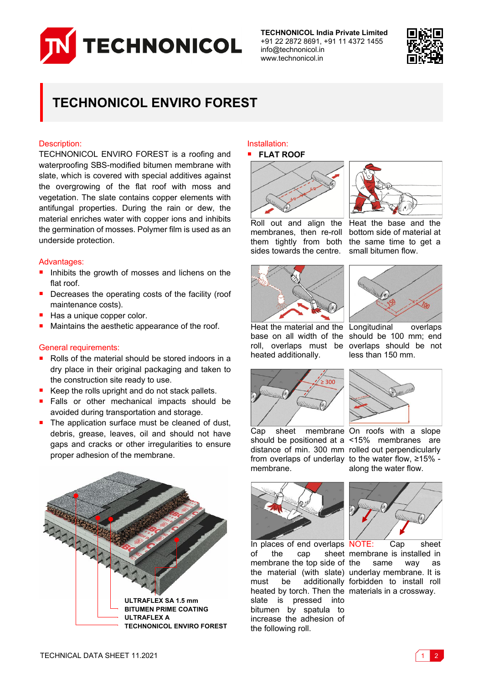

**TECHNONICOL India Private Limited** +91 22 2872 8691, +91 11 4372 1455 info@technonicol.in www.technonicol.in



# **TECHNONICOL ENVIRO FOREST**

## Description:

TECHNONICOL ENVIRO FOREST is a roofing and waterproofing SBS-modified bitumen membrane with slate, which is covered with special additives against the overgrowing of the flat roof with moss and vegetation. The slate contains copper elements with antifungal properties. During the rain or dew, the material enriches water with copper ions and inhibits the germination of mosses. Polymer film is used as an underside protection.

### Advantages:

- Inhibits the growth of mosses and lichens on the flat roof.
- Decreases the operating costs of the facility (roof maintenance costs).
- Has a unique copper color.
- Maintains the aesthetic appearance of the roof.

## General requirements:

- Rolls of the material should be stored indoors in a dry place in their original packaging and taken to the construction site ready to use.
- Keep the rolls upright and do not stack pallets.
- Falls or other mechanical impacts should be avoided during transportation and storage.
- The application surface must be cleaned of dust, debris, grease, leaves, oil and should not have gaps and cracks or other irregularities to ensure proper adhesion of the membrane.



#### Installation: **FLAT ROOF**









Heat the base and the bottom side of material at the same time to get a small bitumen flow.



overlaps should be not less than 150 mm.

Heat the material and the Longitudinal overlaps base on all width of the should be 100 mm; end roll, overlaps must be heated additionally.



Cap sheet membrane On roofs with a slope should be positioned at a <15% membranes are distance of min. 300 mm rolled out perpendicularly from overlaps of underlay to the water flow, ≥15% membrane.



along the water flow.



In places of end overlaps NOTE: Cap sheet of the cap sheet membrane is installed in membrane the top side of the material (with slate) underlay membrane. It is must be additionally forbidden to install roll heated by torch. Then the materials in a crossway. slate is pressed into bitumen by spatula to increase the adhesion of the following roll.



same way as